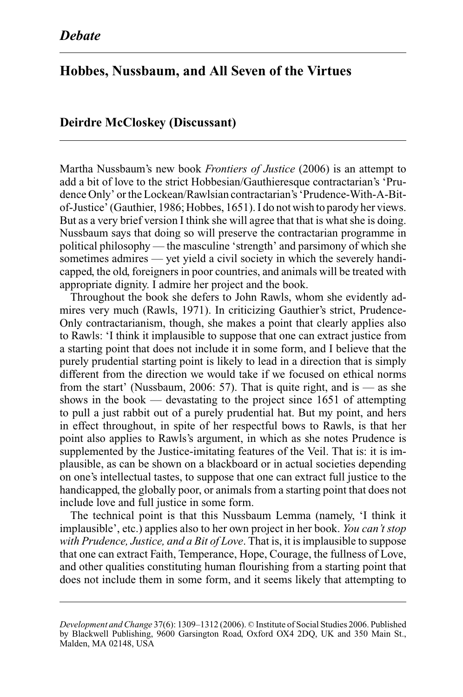## **Hobbes, Nussbaum, and All Seven of the Virtues**

## **Deirdre McCloskey (Discussant)**

Martha Nussbaum's new book *Frontiers of Justice* (2006) is an attempt to add a bit of love to the strict Hobbesian/Gauthieresque contractarian's 'Prudence Only' or the Lockean/Rawlsian contractarian's 'Prudence-With-A-Bitof-Justice' (Gauthier, 1986; Hobbes, 1651). I do not wish to parody her views. But as a very brief version I think she will agree that that is what she is doing. Nussbaum says that doing so will preserve the contractarian programme in political philosophy — the masculine 'strength' and parsimony of which she sometimes admires — yet yield a civil society in which the severely handicapped, the old, foreigners in poor countries, and animals will be treated with appropriate dignity. I admire her project and the book.

Throughout the book she defers to John Rawls, whom she evidently admires very much (Rawls, 1971). In criticizing Gauthier's strict, Prudence-Only contractarianism, though, she makes a point that clearly applies also to Rawls: 'I think it implausible to suppose that one can extract justice from a starting point that does not include it in some form, and I believe that the purely prudential starting point is likely to lead in a direction that is simply different from the direction we would take if we focused on ethical norms from the start' (Nussbaum, 2006: 57). That is quite right, and is — as she shows in the book — devastating to the project since 1651 of attempting to pull a just rabbit out of a purely prudential hat. But my point, and hers in effect throughout, in spite of her respectful bows to Rawls, is that her point also applies to Rawls's argument, in which as she notes Prudence is supplemented by the Justice-imitating features of the Veil. That is: it is implausible, as can be shown on a blackboard or in actual societies depending on one's intellectual tastes, to suppose that one can extract full justice to the handicapped, the globally poor, or animals from a starting point that does not include love and full justice in some form.

The technical point is that this Nussbaum Lemma (namely, 'I think it implausible', etc.) applies also to her own project in her book. *You can't stop with Prudence, Justice, and a Bit of Love*. That is, it is implausible to suppose that one can extract Faith, Temperance, Hope, Courage, the fullness of Love, and other qualities constituting human flourishing from a starting point that does not include them in some form, and it seems likely that attempting to

*Development and Change* 37(6): 1309–1312 (2006). © Institute of Social Studies 2006. Published by Blackwell Publishing, 9600 Garsington Road, Oxford OX4 2DQ, UK and 350 Main St., Malden, MA 02148, USA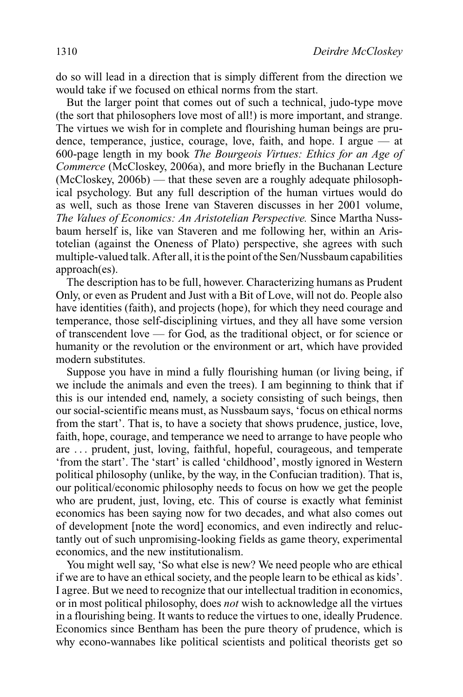do so will lead in a direction that is simply different from the direction we would take if we focused on ethical norms from the start.

But the larger point that comes out of such a technical, judo-type move (the sort that philosophers love most of all!) is more important, and strange. The virtues we wish for in complete and flourishing human beings are prudence, temperance, justice, courage, love, faith, and hope. I argue — at 600-page length in my book *The Bourgeois Virtues: Ethics for an Age of Commerce* (McCloskey, 2006a), and more briefly in the Buchanan Lecture (McCloskey, 2006b) — that these seven are a roughly adequate philosophical psychology. But any full description of the human virtues would do as well, such as those Irene van Staveren discusses in her 2001 volume, *The Values of Economics: An Aristotelian Perspective.* Since Martha Nussbaum herself is, like van Staveren and me following her, within an Aristotelian (against the Oneness of Plato) perspective, she agrees with such multiple-valued talk. After all, it is the point of the Sen/Nussbaum capabilities approach(es).

The description has to be full, however. Characterizing humans as Prudent Only, or even as Prudent and Just with a Bit of Love, will not do. People also have identities (faith), and projects (hope), for which they need courage and temperance, those self-disciplining virtues, and they all have some version of transcendent love — for God, as the traditional object, or for science or humanity or the revolution or the environment or art, which have provided modern substitutes.

Suppose you have in mind a fully flourishing human (or living being, if we include the animals and even the trees). I am beginning to think that if this is our intended end, namely, a society consisting of such beings, then our social-scientific means must, as Nussbaum says, 'focus on ethical norms from the start'. That is, to have a society that shows prudence, justice, love, faith, hope, courage, and temperance we need to arrange to have people who are ... prudent, just, loving, faithful, hopeful, courageous, and temperate 'from the start'. The 'start' is called 'childhood', mostly ignored in Western political philosophy (unlike, by the way, in the Confucian tradition). That is, our political/economic philosophy needs to focus on how we get the people who are prudent, just, loving, etc. This of course is exactly what feminist economics has been saying now for two decades, and what also comes out of development [note the word] economics, and even indirectly and reluctantly out of such unpromising-looking fields as game theory, experimental economics, and the new institutionalism.

You might well say, 'So what else is new? We need people who are ethical if we are to have an ethical society, and the people learn to be ethical as kids'. I agree. But we need to recognize that our intellectual tradition in economics, or in most political philosophy, does *not* wish to acknowledge all the virtues in a flourishing being. It wants to reduce the virtues to one, ideally Prudence. Economics since Bentham has been the pure theory of prudence, which is why econo-wannabes like political scientists and political theorists get so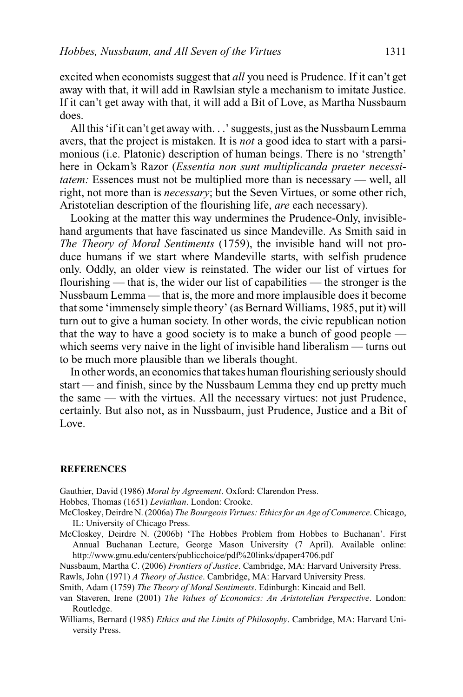excited when economists suggest that *all* you need is Prudence. If it can't get away with that, it will add in Rawlsian style a mechanism to imitate Justice. If it can't get away with that, it will add a Bit of Love, as Martha Nussbaum does.

All this 'if it can't get away with...' suggests, just as the Nussbaum Lemma avers, that the project is mistaken. It is *not* a good idea to start with a parsimonious (i.e. Platonic) description of human beings. There is no 'strength' here in Ockam's Razor (*Essentia non sunt multiplicanda praeter necessitatem:* Essences must not be multiplied more than is necessary — well, all right, not more than is *necessary*; but the Seven Virtues, or some other rich, Aristotelian description of the flourishing life, *are* each necessary).

Looking at the matter this way undermines the Prudence-Only, invisiblehand arguments that have fascinated us since Mandeville. As Smith said in *The Theory of Moral Sentiments* (1759), the invisible hand will not produce humans if we start where Mandeville starts, with selfish prudence only. Oddly, an older view is reinstated. The wider our list of virtues for flourishing — that is, the wider our list of capabilities — the stronger is the Nussbaum Lemma — that is, the more and more implausible does it become that some 'immensely simple theory' (as Bernard Williams, 1985, put it) will turn out to give a human society. In other words, the civic republican notion that the way to have a good society is to make a bunch of good people  $$ which seems very naive in the light of invisible hand liberalism — turns out to be much more plausible than we liberals thought.

In other words, an economics that takes human flourishing seriously should start — and finish, since by the Nussbaum Lemma they end up pretty much the same — with the virtues. All the necessary virtues: not just Prudence, certainly. But also not, as in Nussbaum, just Prudence, Justice and a Bit of Love.

## **REFERENCES**

Gauthier, David (1986) *Moral by Agreement*. Oxford: Clarendon Press.

Hobbes, Thomas (1651) *Leviathan*. London: Crooke.

- McCloskey, Deirdre N. (2006a) *The Bourgeois Virtues: Ethics for an Age of Commerce*. Chicago, IL: University of Chicago Press.
- McCloskey, Deirdre N. (2006b) 'The Hobbes Problem from Hobbes to Buchanan'. First Annual Buchanan Lecture, George Mason University (7 April). Available online: http://www.gmu.edu/centers/publicchoice/pdf%20links/dpaper4706.pdf

Nussbaum, Martha C. (2006) *Frontiers of Justice*. Cambridge, MA: Harvard University Press.

Rawls, John (1971) *A Theory of Justice*. Cambridge, MA: Harvard University Press.

Smith, Adam (1759) *The Theory of Moral Sentiments*. Edinburgh: Kincaid and Bell.

- van Staveren, Irene (2001) *The Values of Economics: An Aristotelian Perspective*. London: Routledge.
- Williams, Bernard (1985) *Ethics and the Limits of Philosophy*. Cambridge, MA: Harvard University Press.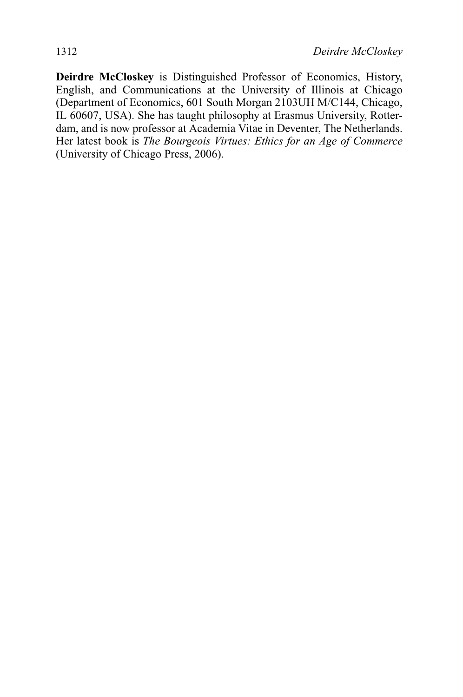**Deirdre McCloskey** is Distinguished Professor of Economics, History, English, and Communications at the University of Illinois at Chicago (Department of Economics, 601 South Morgan 2103UH M/C144, Chicago, IL 60607, USA). She has taught philosophy at Erasmus University, Rotterdam, and is now professor at Academia Vitae in Deventer, The Netherlands. Her latest book is *The Bourgeois Virtues: Ethics for an Age of Commerce* (University of Chicago Press, 2006).